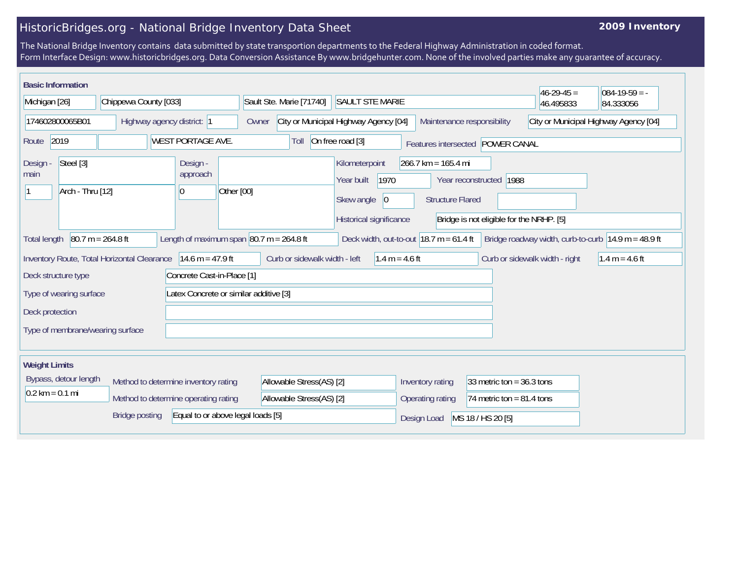## HistoricBridges.org - National Bridge Inventory Data Sheet

## **2009 Inventory**

The National Bridge Inventory contains data submitted by state transportion departments to the Federal Highway Administration in coded format. Form Interface Design: www.historicbridges.org. Data Conversion Assistance By www.bridgehunter.com. None of the involved parties make any guarantee of accuracy.

| <b>Basic Information</b>                                          |                                                                                                                                                                                                                                                    |                                      |                                                      |                                                              |                                                   |                                                                              |                                                                                                                            |                                  |                         |  |                                       |                  | $46 - 29 - 45 =$                         | $084-19-59 = -$ |
|-------------------------------------------------------------------|----------------------------------------------------------------------------------------------------------------------------------------------------------------------------------------------------------------------------------------------------|--------------------------------------|------------------------------------------------------|--------------------------------------------------------------|---------------------------------------------------|------------------------------------------------------------------------------|----------------------------------------------------------------------------------------------------------------------------|----------------------------------|-------------------------|--|---------------------------------------|------------------|------------------------------------------|-----------------|
| Michigan [26]                                                     |                                                                                                                                                                                                                                                    | Chippewa County [033]                |                                                      |                                                              |                                                   | Sault Ste. Marie [71740]<br><b>SAULT STE MARIE</b>                           |                                                                                                                            |                                  |                         |  |                                       |                  | 46.495833                                | 84.333056       |
| 174602800065B01                                                   |                                                                                                                                                                                                                                                    | Highway agency district: 1           |                                                      |                                                              |                                                   | City or Municipal Highway Agency [04]<br>Maintenance responsibility<br>Owner |                                                                                                                            |                                  |                         |  | City or Municipal Highway Agency [04] |                  |                                          |                 |
| 2019<br><b>WEST PORTAGE AVE.</b><br>Route                         |                                                                                                                                                                                                                                                    |                                      |                                                      | On free road [3]<br>Toll<br>Features intersected POWER CANAL |                                                   |                                                                              |                                                                                                                            |                                  |                         |  |                                       |                  |                                          |                 |
| Steel [3]<br>Design -<br>main<br>Arch - Thru [12]                 |                                                                                                                                                                                                                                                    |                                      | Design -<br>approach<br>Other [00]<br>$\overline{0}$ |                                                              |                                                   | Year built                                                                   | $266.7$ km = 165.4 mi<br>Kilometerpoint<br>1970<br>Year reconstructed 1988<br>Skew angle<br> 0 <br><b>Structure Flared</b> |                                  |                         |  |                                       |                  |                                          |                 |
|                                                                   |                                                                                                                                                                                                                                                    |                                      |                                                      |                                                              |                                                   |                                                                              |                                                                                                                            |                                  | Historical significance |  |                                       |                  | Bridge is not eligible for the NRHP. [5] |                 |
|                                                                   | $80.7 m = 264.8 ft$<br>Length of maximum span $ 80.7 \text{ m} = 264.8 \text{ ft} $<br>Deck width, out-to-out $18.7 \text{ m} = 61.4 \text{ ft}$<br>Bridge roadway width, curb-to-curb $ 14.9 \text{ m} = 48.9 \text{ ft} $<br><b>Total length</b> |                                      |                                                      |                                                              |                                                   |                                                                              |                                                                                                                            |                                  |                         |  |                                       |                  |                                          |                 |
| $14.6 m = 47.9 ft$<br>Inventory Route, Total Horizontal Clearance |                                                                                                                                                                                                                                                    |                                      |                                                      |                                                              | Curb or sidewalk width - left<br>$1.4 m = 4.6 ft$ |                                                                              |                                                                                                                            |                                  |                         |  | Curb or sidewalk width - right        | $1.4 m = 4.6 ft$ |                                          |                 |
| Concrete Cast-in-Place [1]<br>Deck structure type                 |                                                                                                                                                                                                                                                    |                                      |                                                      |                                                              |                                                   |                                                                              |                                                                                                                            |                                  |                         |  |                                       |                  |                                          |                 |
| Latex Concrete or similar additive [3]<br>Type of wearing surface |                                                                                                                                                                                                                                                    |                                      |                                                      |                                                              |                                                   |                                                                              |                                                                                                                            |                                  |                         |  |                                       |                  |                                          |                 |
| Deck protection                                                   |                                                                                                                                                                                                                                                    |                                      |                                                      |                                                              |                                                   |                                                                              |                                                                                                                            |                                  |                         |  |                                       |                  |                                          |                 |
| Type of membrane/wearing surface                                  |                                                                                                                                                                                                                                                    |                                      |                                                      |                                                              |                                                   |                                                                              |                                                                                                                            |                                  |                         |  |                                       |                  |                                          |                 |
| <b>Weight Limits</b>                                              |                                                                                                                                                                                                                                                    |                                      |                                                      |                                                              |                                                   |                                                                              |                                                                                                                            |                                  |                         |  |                                       |                  |                                          |                 |
| Bypass, detour length<br>Method to determine inventory rating     |                                                                                                                                                                                                                                                    |                                      | Allowable Stress(AS) [2]                             |                                                              |                                                   |                                                                              | 33 metric ton = $36.3$ tons<br>Inventory rating                                                                            |                                  |                         |  |                                       |                  |                                          |                 |
| $0.2 \text{ km} = 0.1 \text{ mi}$                                 |                                                                                                                                                                                                                                                    | Method to determine operating rating |                                                      |                                                              | Allowable Stress(AS) [2]                          |                                                                              |                                                                                                                            |                                  | Operating rating        |  | 74 metric ton = $81.4$ tons           |                  |                                          |                 |
| <b>Bridge posting</b><br>Equal to or above legal loads [5]        |                                                                                                                                                                                                                                                    |                                      |                                                      |                                                              |                                                   |                                                                              |                                                                                                                            | MS 18 / HS 20 [5]<br>Design Load |                         |  |                                       |                  |                                          |                 |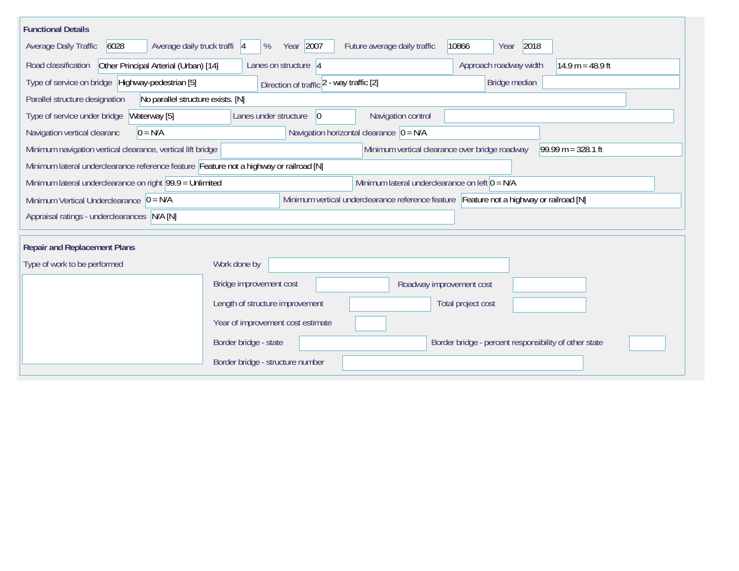| <b>Functional Details</b>                                                              |                                             |                                                                                         |                                                       |                      |  |  |  |  |  |
|----------------------------------------------------------------------------------------|---------------------------------------------|-----------------------------------------------------------------------------------------|-------------------------------------------------------|----------------------|--|--|--|--|--|
| 6028<br>Average daily truck traffi 4<br><b>Average Daily Traffic</b>                   | Year 2007<br>%                              | Future average daily traffic                                                            | 2018<br>10866<br>Year                                 |                      |  |  |  |  |  |
| Road classification<br>Other Principal Arterial (Urban) [14]                           | Lanes on structure 4                        |                                                                                         | Approach roadway width                                | $14.9 m = 48.9 ft$   |  |  |  |  |  |
| Type of service on bridge Highway-pedestrian [5]                                       | Bridge median                               |                                                                                         |                                                       |                      |  |  |  |  |  |
| Parallel structure designation<br>No parallel structure exists. [N]                    |                                             |                                                                                         |                                                       |                      |  |  |  |  |  |
| Type of service under bridge<br>Waterway [5]                                           | Lanes under structure<br>$ 0\rangle$        | Navigation control                                                                      |                                                       |                      |  |  |  |  |  |
| Navigation vertical clearanc<br>$0 = N/A$                                              | Navigation horizontal clearance $ 0 = N/A $ |                                                                                         |                                                       |                      |  |  |  |  |  |
| Minimum navigation vertical clearance, vertical lift bridge                            |                                             | Minimum vertical clearance over bridge roadway                                          |                                                       | $99.99 m = 328.1 ft$ |  |  |  |  |  |
| Minimum lateral underclearance reference feature Feature not a highway or railroad [N] |                                             |                                                                                         |                                                       |                      |  |  |  |  |  |
| Minimum lateral underclearance on right 99.9 = Unlimited                               |                                             | Minimum lateral underclearance on left $0 = N/A$                                        |                                                       |                      |  |  |  |  |  |
| Minimum Vertical Underclearance $ 0 = N/A $                                            |                                             | Minimum vertical underclearance reference feature Feature not a highway or railroad [N] |                                                       |                      |  |  |  |  |  |
| Appraisal ratings - underclearances N/A [N]                                            |                                             |                                                                                         |                                                       |                      |  |  |  |  |  |
|                                                                                        |                                             |                                                                                         |                                                       |                      |  |  |  |  |  |
| <b>Repair and Replacement Plans</b>                                                    |                                             |                                                                                         |                                                       |                      |  |  |  |  |  |
| Type of work to be performed                                                           | Work done by                                |                                                                                         |                                                       |                      |  |  |  |  |  |
|                                                                                        | Bridge improvement cost                     | Roadway improvement cost                                                                |                                                       |                      |  |  |  |  |  |
|                                                                                        | Length of structure improvement             |                                                                                         | Total project cost                                    |                      |  |  |  |  |  |
|                                                                                        | Year of improvement cost estimate           |                                                                                         |                                                       |                      |  |  |  |  |  |
|                                                                                        | Border bridge - state                       |                                                                                         | Border bridge - percent responsibility of other state |                      |  |  |  |  |  |
|                                                                                        | Border bridge - structure number            |                                                                                         |                                                       |                      |  |  |  |  |  |